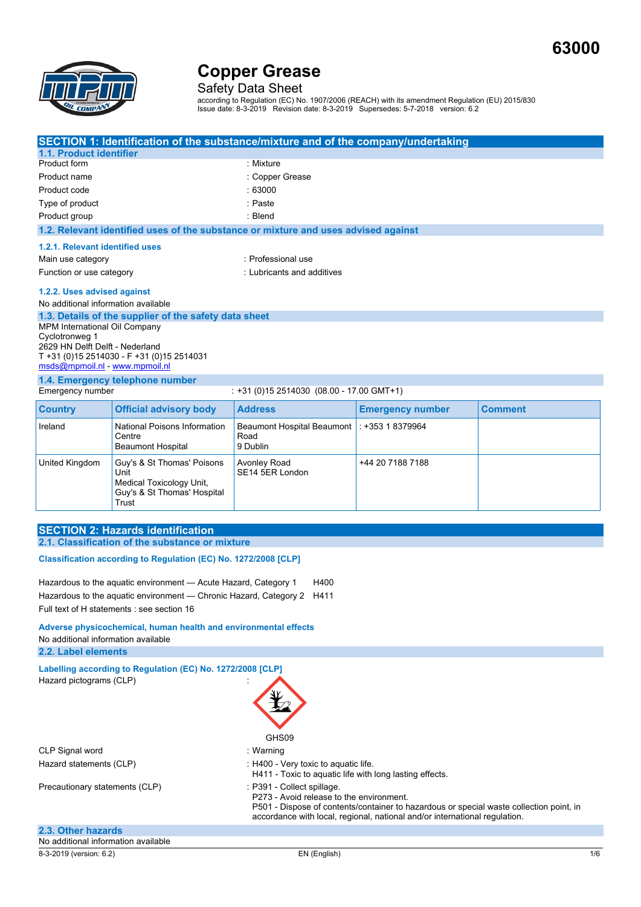**63000**



Safety Data Sheet

according to Regulation (EC) No. 1907/2006 (REACH) with its amendment Regulation (EU) 2015/830 Issue date: 8-3-2019 Revision date: 8-3-2019 Supersedes: 5-7-2018 version: 6.2

|                                                                         |                                                         | SECTION 1: Identification of the substance/mixture and of the company/undertaking  |                         |                |
|-------------------------------------------------------------------------|---------------------------------------------------------|------------------------------------------------------------------------------------|-------------------------|----------------|
| 1.1. Product identifier                                                 |                                                         |                                                                                    |                         |                |
| Product form                                                            |                                                         | : Mixture                                                                          |                         |                |
| Product name                                                            |                                                         | : Copper Grease                                                                    |                         |                |
| Product code                                                            |                                                         | :63000                                                                             |                         |                |
| Type of product                                                         |                                                         | : Paste                                                                            |                         |                |
| Product group                                                           |                                                         | : Blend                                                                            |                         |                |
|                                                                         |                                                         | 1.2. Relevant identified uses of the substance or mixture and uses advised against |                         |                |
| 1.2.1. Relevant identified uses                                         |                                                         |                                                                                    |                         |                |
| Main use category                                                       |                                                         | : Professional use                                                                 |                         |                |
| Function or use category                                                |                                                         | : Lubricants and additives                                                         |                         |                |
| 1.2.2. Uses advised against                                             |                                                         |                                                                                    |                         |                |
| No additional information available                                     |                                                         |                                                                                    |                         |                |
|                                                                         | 1.3. Details of the supplier of the safety data sheet   |                                                                                    |                         |                |
| MPM International Oil Company                                           |                                                         |                                                                                    |                         |                |
| Cyclotronweg 1<br>2629 HN Delft Delft - Nederland                       |                                                         |                                                                                    |                         |                |
|                                                                         | T +31 (0)15 2514030 - F +31 (0)15 2514031               |                                                                                    |                         |                |
| msds@mpmoil.nl - www.mpmoil.nl                                          |                                                         |                                                                                    |                         |                |
|                                                                         | 1.4. Emergency telephone number                         |                                                                                    |                         |                |
| Emergency number                                                        |                                                         | $: +31(0)152514030(08.00 - 17.00$ GMT+1)                                           |                         |                |
| <b>Country</b>                                                          | <b>Official advisory body</b>                           | <b>Address</b>                                                                     | <b>Emergency number</b> | <b>Comment</b> |
| Ireland                                                                 | <b>National Poisons Information</b>                     | <b>Beaumont Hospital Beaumont</b>                                                  | : +353 1 8379964        |                |
|                                                                         | Centre                                                  | Road                                                                               |                         |                |
|                                                                         | <b>Beaumont Hospital</b>                                | 9 Dublin                                                                           |                         |                |
| United Kingdom                                                          | Guy's & St Thomas' Poisons                              | <b>Avonley Road</b>                                                                | +44 20 7188 7188        |                |
|                                                                         | Unit                                                    | SE14 5ER London                                                                    |                         |                |
|                                                                         | Medical Toxicology Unit,<br>Guy's & St Thomas' Hospital |                                                                                    |                         |                |
|                                                                         | Trust                                                   |                                                                                    |                         |                |
|                                                                         |                                                         |                                                                                    |                         |                |
|                                                                         | <b>SECTION 2: Hazards identification</b>                |                                                                                    |                         |                |
|                                                                         | 2.1. Classification of the substance or mixture         |                                                                                    |                         |                |
| Classification according to Regulation (EC) No. 1272/2008 [CLP]         |                                                         |                                                                                    |                         |                |
|                                                                         |                                                         |                                                                                    |                         |                |
| H400<br>Hazardous to the aquatic environment - Acute Hazard, Category 1 |                                                         |                                                                                    |                         |                |
| Hazardous to the aguatic environment — Chronic Hazard, Category 2 H411  |                                                         |                                                                                    |                         |                |
| Full text of H statements : see section 16                              |                                                         |                                                                                    |                         |                |
| Adverse physicochemical, human health and environmental effects         |                                                         |                                                                                    |                         |                |
| No additional information available                                     |                                                         |                                                                                    |                         |                |
| 2.2. Label elements                                                     |                                                         |                                                                                    |                         |                |

8-3-2019 (version: 6.2) EN (English) 1/6 **Labelling according to Regulation (EC) No. 1272/2008 [CLP]** Hazard pictograms (CLP) : GHS09 CLP Signal word in the state of the Signal word in the state of the Signal word in the Signal and Signal and Signal and Signal and Signal and Signal and Signal and Signal and Signal and Signal and Signal and Signal and Sig Hazard statements (CLP)  $\qquad \qquad$ : H400 - Very toxic to aquatic life. H411 - Toxic to aquatic life with long lasting effects. Precautionary statements (CLP) : P391 - Collect spillage. P273 - Avoid release to the environment. P501 - Dispose of contents/container to hazardous or special waste collection point, in accordance with local, regional, national and/or international regulation. **2.3. Other hazards** No additional information available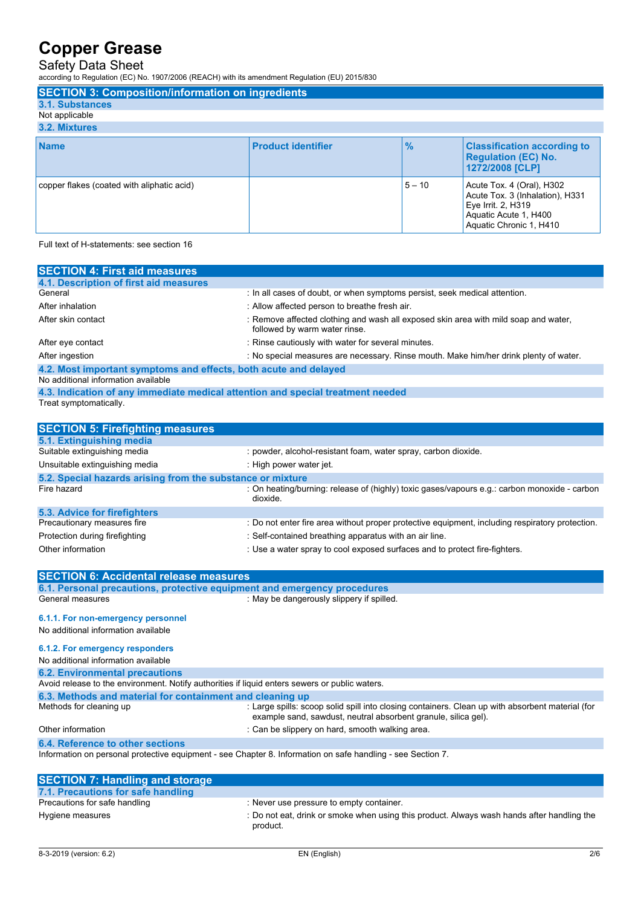### Safety Data Sheet

according to Regulation (EC) No. 1907/2006 (REACH) with its amendment Regulation (EU) 2015/830

| <b>SECTION 3: Composition/information on ingredients</b> |                           |               |                                                                                                                                        |
|----------------------------------------------------------|---------------------------|---------------|----------------------------------------------------------------------------------------------------------------------------------------|
| 3.1. Substances                                          |                           |               |                                                                                                                                        |
| Not applicable                                           |                           |               |                                                                                                                                        |
| 3.2. Mixtures                                            |                           |               |                                                                                                                                        |
| <b>Name</b>                                              | <b>Product identifier</b> | $\frac{9}{6}$ | <b>Classification according to</b><br><b>Regulation (EC) No.</b><br>1272/2008 [CLP]                                                    |
| copper flakes (coated with aliphatic acid)               |                           | $5 - 10$      | Acute Tox. 4 (Oral), H302<br>Acute Tox. 3 (Inhalation), H331<br>Eye Irrit. 2, H319<br>Aquatic Acute 1, H400<br>Aquatic Chronic 1, H410 |
| Full text of H-statements: see section 16                |                           |               |                                                                                                                                        |

| <b>SECTION 4: First aid measures</b>                                            |                                                                                                                      |
|---------------------------------------------------------------------------------|----------------------------------------------------------------------------------------------------------------------|
| 4.1. Description of first aid measures                                          |                                                                                                                      |
| General                                                                         | : In all cases of doubt, or when symptoms persist, seek medical attention.                                           |
| After inhalation                                                                | : Allow affected person to breathe fresh air.                                                                        |
| After skin contact                                                              | : Remove affected clothing and wash all exposed skin area with mild soap and water,<br>followed by warm water rinse. |
| After eye contact                                                               | : Rinse cautiously with water for several minutes.                                                                   |
| After ingestion                                                                 | : No special measures are necessary. Rinse mouth. Make him/her drink plenty of water.                                |
| 4.2. Most important symptoms and effects, both acute and delayed                |                                                                                                                      |
| No additional information available                                             |                                                                                                                      |
| 4.3. Indication of any immediate medical attention and special treatment needed |                                                                                                                      |
| Treat symptomatically.                                                          |                                                                                                                      |
|                                                                                 |                                                                                                                      |
| <b>SECTION 5: Firefighting measures</b>                                         |                                                                                                                      |
| 5.1. Extinguishing media                                                        |                                                                                                                      |
| Suitable extinguishing media                                                    | : powder, alcohol-resistant foam, water spray, carbon dioxide.                                                       |
| Unsuitable extinguishing media                                                  | : High power water jet.                                                                                              |
| 5.2. Special hazards arising from the substance or mixture                      |                                                                                                                      |
| Fire hazard                                                                     | : On heating/burning: release of (highly) toxic gases/vapours e.g.: carbon monoxide - carbon<br>dioxide.             |
| 5.3. Advice for firefighters                                                    |                                                                                                                      |
| Precautionary measures fire                                                     | : Do not enter fire area without proper protective equipment, including respiratory protection.                      |
| Protection during firefighting                                                  | : Self-contained breathing apparatus with an air line.                                                               |
| Other information                                                               | : Use a water spray to cool exposed surfaces and to protect fire-fighters.                                           |
|                                                                                 |                                                                                                                      |

| <b>SECTION 6: Accidental release measures</b>                                                  |                                                                                                                                                                    |
|------------------------------------------------------------------------------------------------|--------------------------------------------------------------------------------------------------------------------------------------------------------------------|
| 6.1. Personal precautions, protective equipment and emergency procedures                       |                                                                                                                                                                    |
| General measures                                                                               | : May be dangerously slippery if spilled.                                                                                                                          |
| 6.1.1. For non-emergency personnel                                                             |                                                                                                                                                                    |
| No additional information available                                                            |                                                                                                                                                                    |
|                                                                                                |                                                                                                                                                                    |
| 6.1.2. For emergency responders                                                                |                                                                                                                                                                    |
| No additional information available                                                            |                                                                                                                                                                    |
| <b>6.2. Environmental precautions</b>                                                          |                                                                                                                                                                    |
| Avoid release to the environment. Notify authorities if liquid enters sewers or public waters. |                                                                                                                                                                    |
| 6.3. Methods and material for containment and cleaning up                                      |                                                                                                                                                                    |
| Methods for cleaning up                                                                        | : Large spills: scoop solid spill into closing containers. Clean up with absorbent material (for<br>example sand, sawdust, neutral absorbent granule, silica gel). |
| Other information                                                                              | : Can be slippery on hard, smooth walking area.                                                                                                                    |
| 6.4. Reference to other sections                                                               |                                                                                                                                                                    |
|                                                                                                | Information on personal protective equipment - see Chapter 8. Information on safe handling - see Section 7.                                                        |
|                                                                                                |                                                                                                                                                                    |
| <b>SECTION 7: Handling and storage</b>                                                         |                                                                                                                                                                    |
| 7.1. Precautions for safe handling                                                             |                                                                                                                                                                    |
| Precautions for safe handling                                                                  | : Never use pressure to empty container.                                                                                                                           |
| Hygiene measures                                                                               | : Do not eat, drink or smoke when using this product. Always wash hands after handling the                                                                         |

product.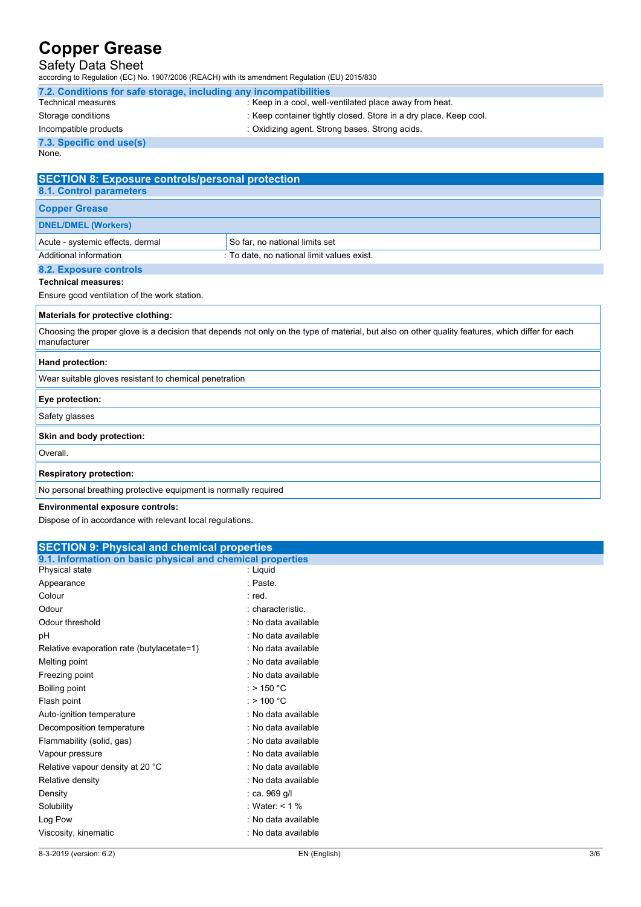## Safety Data Sheet

according to Regulation (EC) No. 1907/2006 (REACH) with its amendment Regulation (EU) 2015/830

| 7.2. Conditions for safe storage, including any incompatibilities                         |                                                                                                                                                  |  |
|-------------------------------------------------------------------------------------------|--------------------------------------------------------------------------------------------------------------------------------------------------|--|
| <b>Technical measures</b>                                                                 | : Keep in a cool, well-ventilated place away from heat.                                                                                          |  |
| Storage conditions                                                                        | : Keep container tightly closed. Store in a dry place. Keep cool.                                                                                |  |
| Incompatible products                                                                     | : Oxidizing agent. Strong bases. Strong acids.                                                                                                   |  |
| 7.3. Specific end use(s)                                                                  |                                                                                                                                                  |  |
| None.                                                                                     |                                                                                                                                                  |  |
|                                                                                           |                                                                                                                                                  |  |
| <b>SECTION 8: Exposure controls/personal protection</b><br><b>8.1. Control parameters</b> |                                                                                                                                                  |  |
| <b>Copper Grease</b>                                                                      |                                                                                                                                                  |  |
| <b>DNEL/DMEL (Workers)</b>                                                                |                                                                                                                                                  |  |
| Acute - systemic effects, dermal                                                          | So far, no national limits set                                                                                                                   |  |
| <b>Additional information</b>                                                             | : To date, no national limit values exist.                                                                                                       |  |
| 8.2. Exposure controls                                                                    |                                                                                                                                                  |  |
| <b>Technical measures:</b>                                                                |                                                                                                                                                  |  |
| Ensure good ventilation of the work station.                                              |                                                                                                                                                  |  |
| Materials for protective clothing:                                                        |                                                                                                                                                  |  |
| manufacturer                                                                              | Choosing the proper glove is a decision that depends not only on the type of material, but also on other quality features, which differ for each |  |
| Hand protection:                                                                          |                                                                                                                                                  |  |
| Wear suitable gloves resistant to chemical penetration                                    |                                                                                                                                                  |  |
| Eye protection:                                                                           |                                                                                                                                                  |  |
| Safety glasses                                                                            |                                                                                                                                                  |  |
| Skin and body protection:                                                                 |                                                                                                                                                  |  |
| Overall.                                                                                  |                                                                                                                                                  |  |
| <b>Respiratory protection:</b>                                                            |                                                                                                                                                  |  |
| No personal breathing protective equipment is normally required                           |                                                                                                                                                  |  |
| <b>Environmental exposure controls:</b>                                                   |                                                                                                                                                  |  |

Dispose of in accordance with relevant local regulations.

| <b>SECTION 9: Physical and chemical properties</b>         |                      |  |
|------------------------------------------------------------|----------------------|--|
| 9.1. Information on basic physical and chemical properties |                      |  |
| Physical state                                             | : Liquid             |  |
| Appearance                                                 | : Paste.             |  |
| Colour                                                     | : red.               |  |
| Odour                                                      | : characteristic.    |  |
| Odour threshold                                            | : No data available  |  |
| рH                                                         | : No data available  |  |
| Relative evaporation rate (butylacetate=1)                 | : No data available  |  |
| Melting point                                              | : No data available  |  |
| Freezing point                                             | : No data available  |  |
| Boiling point                                              | : > 150 $^{\circ}$ C |  |
| Flash point                                                | : $> 100 °C$         |  |
| Auto-ignition temperature                                  | : No data available  |  |
| Decomposition temperature                                  | : No data available  |  |
| Flammability (solid, gas)                                  | : No data available  |  |
| Vapour pressure                                            | : No data available  |  |
| Relative vapour density at 20 °C                           | : No data available  |  |
| Relative density                                           | : No data available  |  |
| Density                                                    | : ca. 969 g/l        |  |
| Solubility                                                 | : Water: < 1 %       |  |
| Log Pow                                                    | : No data available  |  |
| Viscosity, kinematic                                       | : No data available  |  |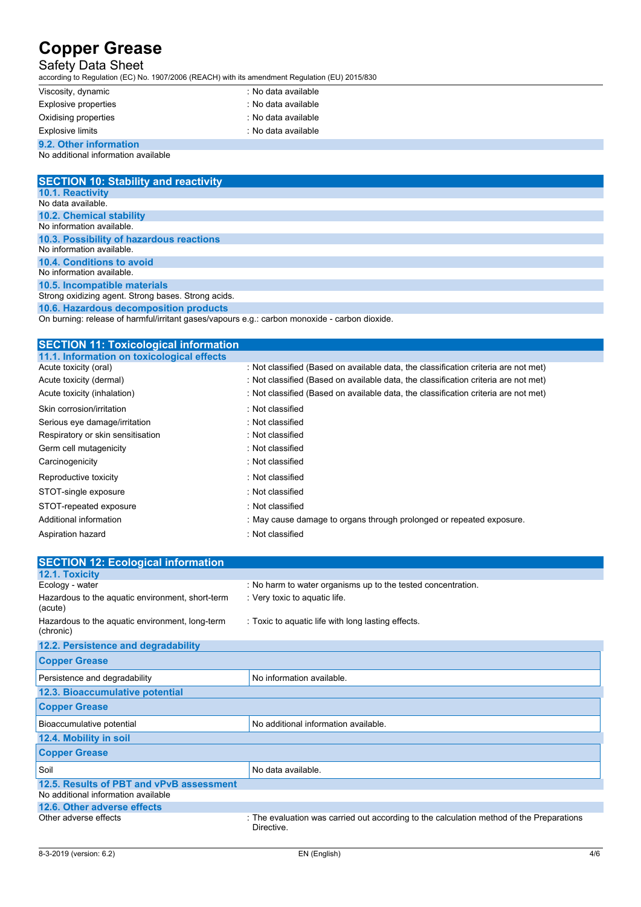## Safety Data Sheet

according to Regulation (EC) No. 1907/2006 (REACH) with its amendment Regulation (EU) 2015/830

| Viscosity, dynamic          | : No data available |  |
|-----------------------------|---------------------|--|
| <b>Explosive properties</b> | : No data available |  |
| Oxidising properties        | : No data available |  |
| Explosive limits            | : No data available |  |
| 9.2. Other information      |                     |  |

### No additional information available

| <b>SECTION 10: Stability and reactivity</b>         |
|-----------------------------------------------------|
| <b>10.1. Reactivity</b>                             |
| No data available.                                  |
| <b>10.2. Chemical stability</b>                     |
| No information available.                           |
| 10.3. Possibility of hazardous reactions            |
| No information available.                           |
| 10.4. Conditions to avoid                           |
| No information available.                           |
| 10.5. Incompatible materials                        |
| Strong oxidizing agent. Strong bases. Strong acids. |
|                                                     |

**10.6. Hazardous decomposition products**

On burning: release of harmful/irritant gases/vapours e.g.: carbon monoxide - carbon dioxide.

| <b>SECTION 11: Toxicological information</b> |                                                                                     |
|----------------------------------------------|-------------------------------------------------------------------------------------|
| 11.1. Information on toxicological effects   |                                                                                     |
| Acute toxicity (oral)                        | : Not classified (Based on available data, the classification criteria are not met) |
| Acute toxicity (dermal)                      | : Not classified (Based on available data, the classification criteria are not met) |
| Acute toxicity (inhalation)                  | : Not classified (Based on available data, the classification criteria are not met) |
| Skin corrosion/irritation                    | : Not classified                                                                    |
| Serious eye damage/irritation                | : Not classified                                                                    |
| Respiratory or skin sensitisation            | : Not classified                                                                    |
| Germ cell mutagenicity                       | : Not classified                                                                    |
| Carcinogenicity                              | : Not classified                                                                    |
| Reproductive toxicity                        | : Not classified                                                                    |
| STOT-single exposure                         | : Not classified                                                                    |
| STOT-repeated exposure                       | : Not classified                                                                    |
| Additional information                       | : May cause damage to organs through prolonged or repeated exposure.                |
| Aspiration hazard                            | : Not classified                                                                    |

| <b>SECTION 12: Ecological information</b>                    |                                                                                                        |
|--------------------------------------------------------------|--------------------------------------------------------------------------------------------------------|
| <b>12.1. Toxicity</b>                                        |                                                                                                        |
| Ecology - water                                              | : No harm to water organisms up to the tested concentration.                                           |
| Hazardous to the aquatic environment, short-term<br>(acute)  | : Very toxic to aquatic life.                                                                          |
| Hazardous to the aquatic environment, long-term<br>(chronic) | : Toxic to aquatic life with long lasting effects.                                                     |
| 12.2. Persistence and degradability                          |                                                                                                        |
| <b>Copper Grease</b>                                         |                                                                                                        |
| Persistence and degradability                                | No information available.                                                                              |
| 12.3. Bioaccumulative potential                              |                                                                                                        |
| <b>Copper Grease</b>                                         |                                                                                                        |
| Bioaccumulative potential                                    | No additional information available.                                                                   |
| 12.4. Mobility in soil                                       |                                                                                                        |
| <b>Copper Grease</b>                                         |                                                                                                        |
| Soil                                                         | No data available.                                                                                     |
| 12.5. Results of PBT and vPvB assessment                     |                                                                                                        |
| No additional information available                          |                                                                                                        |
| 12.6. Other adverse effects                                  |                                                                                                        |
| Other adverse effects                                        | : The evaluation was carried out according to the calculation method of the Preparations<br>Directive. |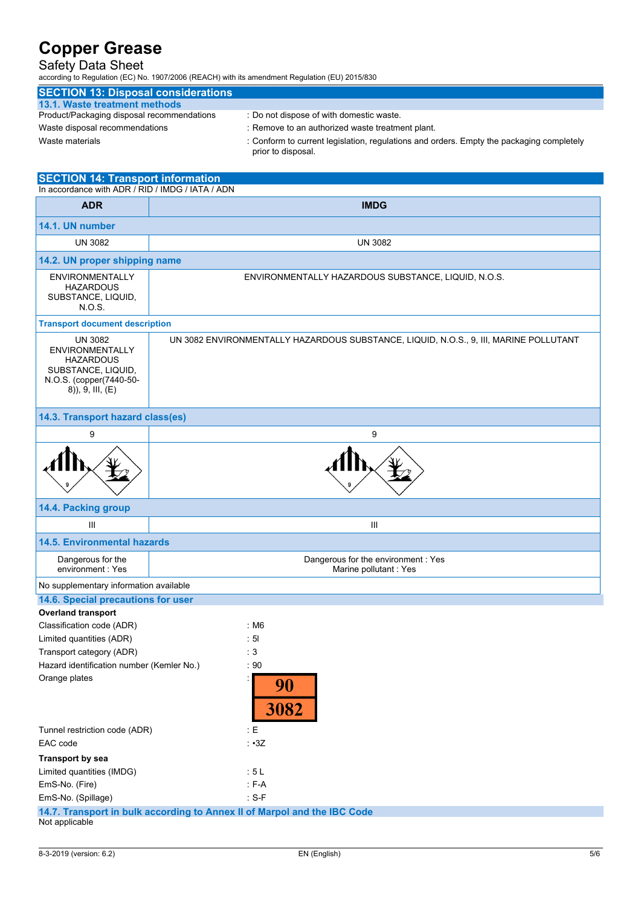## Safety Data Sheet

according to Regulation (EC) No. 1907/2006 (REACH) with its amendment Regulation (EU) 2015/830

| <b>SECTION 13: Disposal considerations</b> |                                                  |
|--------------------------------------------|--------------------------------------------------|
| 13.1. Waste treatment methods              |                                                  |
| Product/Packaging disposal recommendations | : Do not dispose of with domestic waste.         |
| Waste disposal recommendations             | : Remove to an authorized waste treatment plant. |

- 
- Waste materials : Conform to current legislation, regulations and orders. Empty the packaging completely prior to disposal.

| <b>SECTION 14: Transport information</b><br>In accordance with ADR / RID / IMDG / IATA / ADN                                           |                                                                                       |  |  |
|----------------------------------------------------------------------------------------------------------------------------------------|---------------------------------------------------------------------------------------|--|--|
| <b>ADR</b>                                                                                                                             | <b>IMDG</b>                                                                           |  |  |
| 14.1. UN number                                                                                                                        |                                                                                       |  |  |
| <b>UN 3082</b>                                                                                                                         | <b>UN 3082</b>                                                                        |  |  |
| 14.2. UN proper shipping name                                                                                                          |                                                                                       |  |  |
| <b>ENVIRONMENTALLY</b><br><b>HAZARDOUS</b><br>SUBSTANCE, LIQUID,<br>N.O.S.                                                             | ENVIRONMENTALLY HAZARDOUS SUBSTANCE, LIQUID, N.O.S.                                   |  |  |
| <b>Transport document description</b>                                                                                                  |                                                                                       |  |  |
| <b>UN 3082</b><br><b>ENVIRONMENTALLY</b><br><b>HAZARDOUS</b><br>SUBSTANCE, LIQUID,<br>N.O.S. (copper(7440-50-<br>$(8)$ , 9, III, $(E)$ | UN 3082 ENVIRONMENTALLY HAZARDOUS SUBSTANCE, LIQUID, N.O.S., 9, III, MARINE POLLUTANT |  |  |
| 14.3. Transport hazard class(es)                                                                                                       |                                                                                       |  |  |
| 9                                                                                                                                      | 9                                                                                     |  |  |
|                                                                                                                                        |                                                                                       |  |  |
| 14.4. Packing group                                                                                                                    |                                                                                       |  |  |
| Ш                                                                                                                                      | III                                                                                   |  |  |
| <b>14.5. Environmental hazards</b>                                                                                                     |                                                                                       |  |  |
| Dangerous for the<br>environment: Yes                                                                                                  | Dangerous for the environment : Yes<br>Marine pollutant: Yes                          |  |  |
| No supplementary information available                                                                                                 |                                                                                       |  |  |
| 14.6. Special precautions for user                                                                                                     |                                                                                       |  |  |
| <b>Overland transport</b><br>Classification code (ADR)                                                                                 | : M6                                                                                  |  |  |
| Limited quantities (ADR)                                                                                                               | : 51                                                                                  |  |  |
| Transport category (ADR)                                                                                                               | : 3                                                                                   |  |  |
| Hazard identification number (Kemler No.)                                                                                              | $\cdot$ 90                                                                            |  |  |
| Orange plates                                                                                                                          | P,<br>90<br>3082                                                                      |  |  |
| Tunnel restriction code (ADR)                                                                                                          | $\cdot E$                                                                             |  |  |
| EAC code                                                                                                                               | $\cdot$ $\cdot$ 3Z                                                                    |  |  |
| <b>Transport by sea</b>                                                                                                                |                                                                                       |  |  |
| Limited quantities (IMDG)                                                                                                              | : 5L                                                                                  |  |  |
| EmS-No. (Fire)                                                                                                                         | $F-A$                                                                                 |  |  |
| EmS-No. (Spillage)                                                                                                                     | $: S-F$                                                                               |  |  |
| 14.7. Transport in bulk according to Annex II of Marpol and the IBC Code<br>Not applicable                                             |                                                                                       |  |  |